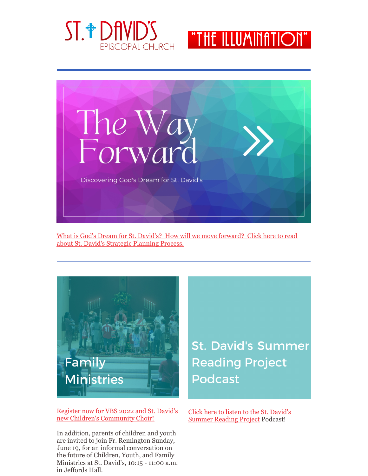





What is God's Dream for St. David's? How will we move [forward?](https://files.constantcontact.com/5773b7f5001/01985d8f-7c85-497d-b51c-5eb9fd2351c3.pdf) Click here to read about St. David's Strategic Planning Process.



Register now for VBS 2022 and St. David's new Children's [Community](https://files.constantcontact.com/5773b7f5001/383fb0d1-45bf-44e1-8aad-7a93ba518d39.pdf) Choir!

In addition, parents of children and youth are invited to join Fr. Remington Sunday, June 19, for an informal conversation on the future of Children, Youth, and Family Ministries at St. David's, 10:15 - 11:00 a.m. in Jeffords Hall.

**St. David's Summer Reading Project Podcast** 

Click here to listen to the St. David's [Summer](https://www.podbean.com/pu/pbblog-cy2xc-d8cdf8) Reading Project Podcast!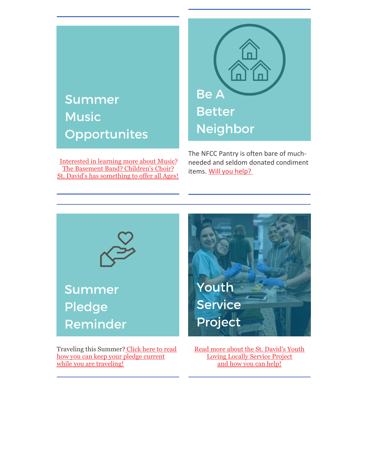## **Summer Music** Opportunites

[Interested](https://files.constantcontact.com/5773b7f5001/df7f365b-4d0d-453e-9e49-d4c021df859c.pdf) in learning more about Music? The Basement Band? [Children's](https://files.constantcontact.com/5773b7f5001/df7f365b-4d0d-453e-9e49-d4c021df859c.pdf) Choir? St. David's has [something](https://files.constantcontact.com/5773b7f5001/df7f365b-4d0d-453e-9e49-d4c021df859c.pdf) to offer all Ages!



The NFCC Pantry is often bare of muchneeded and seldom donated condiment items. Will you [help?](https://files.constantcontact.com/5773b7f5001/b82632c2-e115-4bcc-95ea-7f2dd396f05b.pdf)



Traveling this [Summer?](https://files.constantcontact.com/5773b7f5001/e24dd209-6409-4097-8de2-967cccc7365d.pdf) Click here to read how you can keep your pledge current while you are traveling!

Read more about the St. [David's](https://files.constantcontact.com/5773b7f5001/2b93f127-e387-4a0e-9ca0-5a5b6a2f709f.pdf) Youth Loving Locally Service Project and how you can [help!](https://files.constantcontact.com/5773b7f5001/2b93f127-e387-4a0e-9ca0-5a5b6a2f709f.pdf)